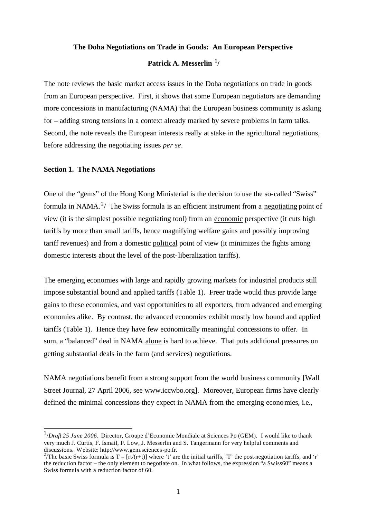# **The Doha Negotiations on Trade in Goods: An European Perspective**

# **Patrick A. Messerlin <sup>1</sup> /**

The note reviews the basic market access issues in the Doha negotiations on trade in goods from an European perspective. First, it shows that some European negotiators are demanding more concessions in manufacturing (NAMA) that the European business community is asking for – adding strong tensions in a context already marked by severe problems in farm talks. Second, the note reveals the European interests really at stake in the agricultural negotiations, before addressing the negotiating issues *per se*.

#### **Section 1. The NAMA Negotiations**

 $\overline{a}$ 

One of the "gems" of the Hong Kong Ministerial is the decision to use the so-called "Swiss" formula in NAMA.<sup>2</sup>/ The Swiss formula is an efficient instrument from a negotiating point of view (it is the simplest possible negotiating tool) from an economic perspective (it cuts high tariffs by more than small tariffs, hence magnifying welfare gains and possibly improving tariff revenues) and from a domestic political point of view (it minimizes the fights among domestic interests about the level of the post-liberalization tariffs).

The emerging economies with large and rapidly growing markets for industrial products still impose substantial bound and applied tariffs (Table 1). Freer trade would thus provide large gains to these economies, and vast opportunities to all exporters, from advanced and emerging economies alike. By contrast, the advanced economies exhibit mostly low bound and applied tariffs (Table 1). Hence they have few economically meaningful concessions to offer. In sum, a "balanced" deal in NAMA alone is hard to achieve. That puts additional pressures on getting substantial deals in the farm (and services) negotiations.

NAMA negotiations benefit from a strong support from the world business community [Wall Street Journal, 27 April 2006, see www.iccwbo.org]. Moreover, European firms have clearly defined the minimal concessions they expect in NAMA from the emerging economies, i.e.,

<sup>&</sup>lt;sup>1</sup>/Draft 25 June 2006. Director, Groupe d'Economie Mondiale at Sciences Po (GEM). I would like to thank very much J. Curtis, F. Ismail, P. Low, J. Messerlin and S. Tangermann for very helpful comments and discussions. Website: http://www.gem.sciences-po.fr.

<sup>&</sup>lt;sup>2</sup>/The basic Swiss formula is  $T = [rt/(r+t)]$  where 't' are the initial tariffs, 'T' the post-negotiation tariffs, and 'r' the reduction factor – the only element to negotiate on. In what follows, the expression "a Swiss60" means a Swiss formula with a reduction factor of 60.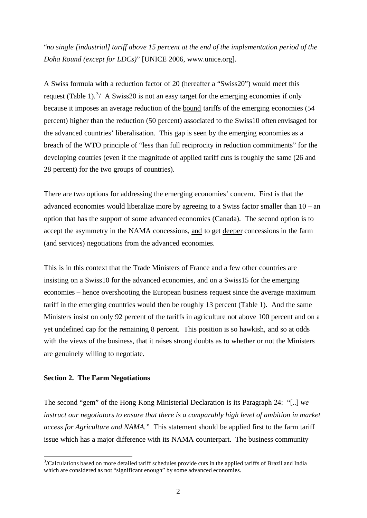"*no single [industrial] tariff above 15 percent at the end of the implementation period of the Doha Round (except for LDCs)*" [UNICE 2006, www.unice.org].

A Swiss formula with a reduction factor of 20 (hereafter a "Swiss20") would meet this request (Table 1).<sup>3</sup>/ A Swiss20 is not an easy target for the emerging economies if only because it imposes an average reduction of the bound tariffs of the emerging economies (54 percent) higher than the reduction (50 percent) associated to the Swiss10 often envisaged for the advanced countries' liberalisation. This gap is seen by the emerging economies as a breach of the WTO principle of "less than full reciprocity in reduction commitments" for the developing coutries (even if the magnitude of applied tariff cuts is roughly the same (26 and 28 percent) for the two groups of countries).

There are two options for addressing the emerging economies' concern. First is that the advanced economies would liberalize more by agreeing to a Swiss factor smaller than 10 – an option that has the support of some advanced economies (Canada). The second option is to accept the asymmetry in the NAMA concessions, and to get deeper concessions in the farm (and services) negotiations from the advanced economies.

This is in this context that the Trade Ministers of France and a few other countries are insisting on a Swiss10 for the advanced economies, and on a Swiss15 for the emerging economies – hence overshooting the European business request since the average maximum tariff in the emerging countries would then be roughly 13 percent (Table 1). And the same Ministers insist on only 92 percent of the tariffs in agriculture not above 100 percent and on a yet undefined cap for the remaining 8 percent. This position is so hawkish, and so at odds with the views of the business, that it raises strong doubts as to whether or not the Ministers are genuinely willing to negotiate.

#### **Section 2. The Farm Negotiations**

The second "gem" of the Hong Kong Ministerial Declaration is its Paragraph 24: "[..] *we instruct our negotiators to ensure that there is a comparably high level of ambition in market access for Agriculture and NAMA.*" This statement should be applied first to the farm tariff issue which has a major difference with its NAMA counterpart. The business community

<sup>&</sup>lt;sup>3</sup>/Calculations based on more detailed tariff schedules provide cuts in the applied tariffs of Brazil and India which are considered as not "significant enough" by some advanced economies.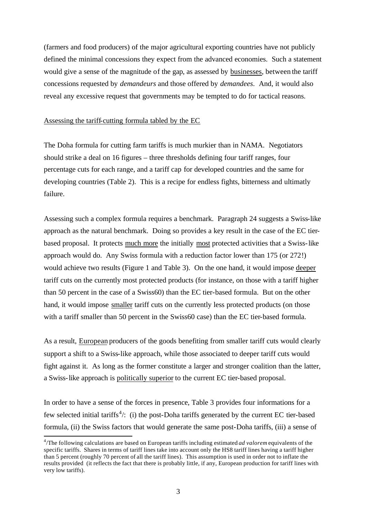(farmers and food producers) of the major agricultural exporting countries have not publicly defined the minimal concessions they expect from the advanced economies. Such a statement would give a sense of the magnitude of the gap, as assessed by businesses, between the tariff concessions requested by *demandeurs* and those offered by *demandees*. And, it would also reveal any excessive request that governments may be tempted to do for tactical reasons.

#### Assessing the tariff-cutting formula tabled by the EC

The Doha formula for cutting farm tariffs is much murkier than in NAMA. Negotiators should strike a deal on 16 figures – three thresholds defining four tariff ranges, four percentage cuts for each range, and a tariff cap for developed countries and the same for developing countries (Table 2). This is a recipe for endless fights, bitterness and ultimatly failure.

Assessing such a complex formula requires a benchmark. Paragraph 24 suggests a Swiss-like approach as the natural benchmark. Doing so provides a key result in the case of the EC tierbased proposal. It protects much more the initially most protected activities that a Swiss-like approach would do. Any Swiss formula with a reduction factor lower than 175 (or 272!) would achieve two results (Figure 1 and Table 3). On the one hand, it would impose deeper tariff cuts on the currently most protected products (for instance, on those with a tariff higher than 50 percent in the case of a Swiss60) than the EC tier-based formula. But on the other hand, it would impose smaller tariff cuts on the currently less protected products (on those with a tariff smaller than 50 percent in the Swiss60 case) than the EC tier-based formula.

As a result, European producers of the goods benefiting from smaller tariff cuts would clearly support a shift to a Swiss-like approach, while those associated to deeper tariff cuts would fight against it. As long as the former constitute a larger and stronger coalition than the latter, a Swiss-like approach is politically superior to the current EC tier-based proposal.

In order to have a sense of the forces in presence, Table 3 provides four informations for a few selected initial tariffs<sup>4</sup>/: (i) the post-Doha tariffs generated by the current EC tier-based formula, (ii) the Swiss factors that would generate the same post-Doha tariffs, (iii) a sense of

l

<sup>4</sup> /The following calculations are based on European tariffs including estimated *ad valorem* equivalents of the specific tariffs. Shares in terms of tariff lines take into account only the HS8 tariff lines having a tariff higher than 5 percent (roughly 70 percent of all the tariff lines). This assumption is used in order not to inflate the results provided (it reflects the fact that there is probably little, if any, European production for tariff lines with very low tariffs).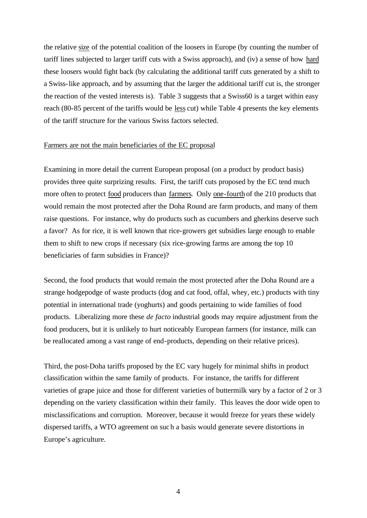the relative size of the potential coalition of the loosers in Europe (by counting the number of tariff lines subjected to larger tariff cuts with a Swiss approach), and (iv) a sense of how hard these loosers would fight back (by calculating the additional tariff cuts generated by a shift to a Swiss-like approach, and by assuming that the larger the additional tariff cut is, the stronger the reaction of the vested interests is). Table 3 suggests that a Swiss60 is a target within easy reach (80-85 percent of the tariffs would be less cut) while Table 4 presents the key elements of the tariff structure for the various Swiss factors selected.

#### Farmers are not the main beneficiaries of the EC proposal

Examining in more detail the current European proposal (on a product by product basis) provides three quite surprizing results. First, the tariff cuts proposed by the EC tend much more often to protect food producers than farmers. Only one-fourth of the 210 products that would remain the most protected after the Doha Round are farm products, and many of them raise questions. For instance, why do products such as cucumbers and gherkins deserve such a favor? As for rice, it is well known that rice-growers get subsidies large enough to enable them to shift to new crops if necessary (six rice-growing farms are among the top 10 beneficiaries of farm subsidies in France)?

Second, the food products that would remain the most protected after the Doha Round are a strange hodgepodge of waste products (dog and cat food, offal, whey, etc.) products with tiny potential in international trade (yoghurts) and goods pertaining to wide families of food products. Liberalizing more these *de facto* industrial goods may require adjustment from the food producers, but it is unlikely to hurt noticeably European farmers (for instance, milk can be reallocated among a vast range of end-products, depending on their relative prices).

Third, the post-Doha tariffs proposed by the EC vary hugely for minimal shifts in product classification within the same family of products. For instance, the tariffs for different varieties of grape juice and those for different varieties of buttermilk vary by a factor of 2 or 3 depending on the variety classification within their family. This leaves the door wide open to misclassifications and corruption. Moreover, because it would freeze for years these widely dispersed tariffs, a WTO agreement on such a basis would generate severe distortions in Europe's agriculture.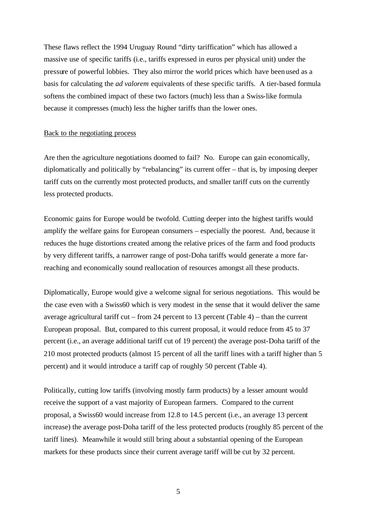These flaws reflect the 1994 Uruguay Round "dirty tariffication" which has allowed a massive use of specific tariffs (i.e., tariffs expressed in euros per physical unit) under the pressure of powerful lobbies. They also mirror the world prices which have been used as a basis for calculating the *ad valorem* equivalents of these specific tariffs. A tier-based formula softens the combined impact of these two factors (much) less than a Swiss-like formula because it compresses (much) less the higher tariffs than the lower ones.

## Back to the negotiating process

Are then the agriculture negotiations doomed to fail? No. Europe can gain economically, diplomatically and politically by "rebalancing" its current offer – that is, by imposing deeper tariff cuts on the currently most protected products, and smaller tariff cuts on the currently less protected products.

Economic gains for Europe would be twofold. Cutting deeper into the highest tariffs would amplify the welfare gains for European consumers – especially the poorest. And, because it reduces the huge distortions created among the relative prices of the farm and food products by very different tariffs, a narrower range of post-Doha tariffs would generate a more farreaching and economically sound reallocation of resources amongst all these products.

Diplomatically, Europe would give a welcome signal for serious negotiations. This would be the case even with a Swiss60 which is very modest in the sense that it would deliver the same average agricultural tariff cut – from 24 percent to 13 percent (Table 4) – than the current European proposal. But, compared to this current proposal, it would reduce from 45 to 37 percent (i.e., an average additional tariff cut of 19 percent) the average post-Doha tariff of the 210 most protected products (almost 15 percent of all the tariff lines with a tariff higher than 5 percent) and it would introduce a tariff cap of roughly 50 percent (Table 4).

Politically, cutting low tariffs (involving mostly farm products) by a lesser amount would receive the support of a vast majority of European farmers. Compared to the current proposal, a Swiss60 would increase from 12.8 to 14.5 percent (i.e., an average 13 percent increase) the average post-Doha tariff of the less protected products (roughly 85 percent of the tariff lines). Meanwhile it would still bring about a substantial opening of the European markets for these products since their current average tariff will be cut by 32 percent.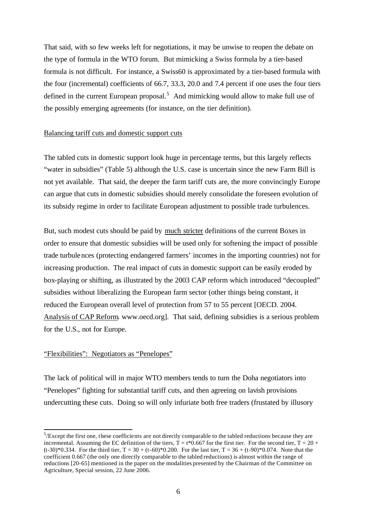That said, with so few weeks left for negotiations, it may be unwise to reopen the debate on the type of formula in the WTO forum. But mimicking a Swiss formula by a tier-based formula is not difficult. For instance, a Swiss60 is approximated by a tier-based formula with the four (incremental) coefficients of 66.7, 33.3, 20.0 and 7.4 percent if one uses the four tiers defined in the current European proposal.<sup>5</sup> And mimicking would allow to make full use of the possibly emerging agreements (for instance, on the tier definition).

#### Balancing tariff cuts and domestic support cuts

The tabled cuts in domestic support look huge in percentage terms, but this largely reflects "water in subsidies" (Table 5) although the U.S. case is uncertain since the new Farm Bill is not yet available. That said, the deeper the farm tariff cuts are, the more convincingly Europe can argue that cuts in domestic subsidies should merely consolidate the foreseen evolution of its subsidy regime in order to facilitate European adjustment to possible trade turbulences.

But, such modest cuts should be paid by much stricter definitions of the current Boxes in order to ensure that domestic subsidies will be used only for softening the impact of possible trade turbulences (protecting endangered farmers' incomes in the importing countries) not for increasing production. The real impact of cuts in domestic support can be easily eroded by box-playing or shifting, as illustrated by the 2003 CAP reform which introduced "decoupled" subsidies without liberalizing the European farm sector (other things being constant, it reduced the European overall level of protection from 57 to 55 percent [OECD. 2004. Analysis of CAP Reform. www.oecd.org]. That said, defining subsidies is a serious problem for the U.S., not for Europe.

## "Flexibilities": Negotiators as "Penelopes"

 $\overline{\phantom{a}}$ 

The lack of political will in major WTO members tends to turn the Doha negotiators into "Penelopes" fighting for substantial tariff cuts, and then agreeing on lavish provisions undercutting these cuts. Doing so will only infuriate both free traders (frustated by illusory

 $5$ /Except the first one, these coefficients are not directly comparable to the tabled reductions because they are incremental. Assuming the EC definition of the tiers,  $\dot{T} = t*0.667$  for the first tier. For the second tier,  $T = 20 +$  $(t-30)*0.334$ . For the third tier, T = 30 + (t-60)\*0.200. For the last tier, T = 36 + (t-90)\*0.074. Note that the coefficient 0.667 (the only one directly comparable to the tabled reductions) is almost within the range of reductions [20-65] mentioned in the paper on the modalities presented by the Chairman of the Committee on Agriculture, Special session, 22 June 2006.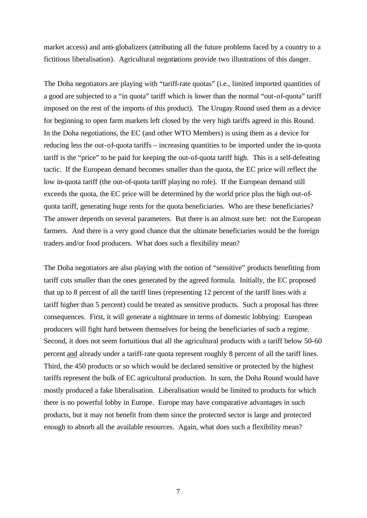market access) and anti-globalizers (attributing all the future problems faced by a country to a fictitious liberalisation). Agricultural negotiations provide two illustrations of this danger.

The Doha negotiators are playing with "tariff-rate quotas" (i.e., limited imported quantities of a good are subjected to a "in quota" tariff which is lower than the normal "out-of-quota" tariff imposed on the rest of the imports of this product). The Urugay Round used them as a device for beginning to open farm markets left closed by the very high tariffs agreed in this Round. In the Doha negotiations, the EC (and other WTO Members) is using them as a device for reducing less the out-of-quota tariffs – increasing quantities to be imported under the in-quota tariff is the "price" to be paid for keeping the out-of-quota tariff high. This is a self-defeating tactic. If the European demand becomes smaller than the quota, the EC price will reflect the low in-quota tariff (the out-of-quota tariff playing no role). If the European demand still exceeds the quota, the EC price will be determined by the world price plus the high out-ofquota tariff, generating huge rents for the quota beneficiaries. Who are these beneficiaries? The answer depends on several parameters. But there is an almost sure bet: not the European farmers. And there is a very good chance that the ultimate beneficiaries would be the foreign traders and/or food producers. What does such a flexibility mean?

The Doha negotiators are also playing with the notion of "sensitive" products benefiting from tariff cuts smaller than the ones generated by the agreed formula. Initially, the EC proposed that up to 8 percent of all the tariff lines (representing 12 percent of the tariff lines with a tariff higher than 5 percent) could be treated as sensitive products. Such a proposal has three consequences. First, it will generate a nightmare in terms of domestic lobbying: European producers will fight hard between themselves for being the beneficiaries of such a regime. Second, it does not seem fortuitious that all the agricultural products with a tariff below 50-60 percent and already under a tariff-rate quota represent roughly 8 percent of all the tariff lines. Third, the 450 products or so which would be declared sensitive or protected by the highest tariffs represent the bulk of EC agricultural production. In sum, the Doha Round would have mostly produced a fake liberalisation. Liberalisation would be limited to products for which there is no powerful lobby in Europe. Europe may have comparative advantages in such products, but it may not benefit from them since the protected sector is large and protected enough to absorb all the available resources. Again, what does such a flexibility mean?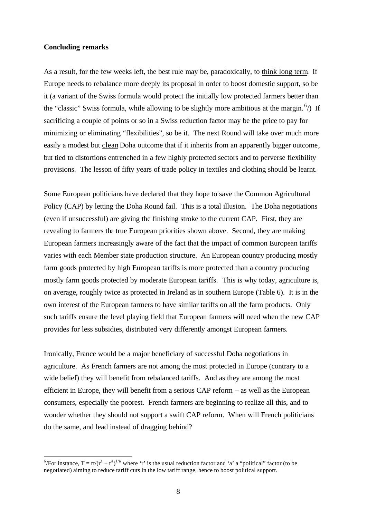#### **Concluding remarks**

As a result, for the few weeks left, the best rule may be, paradoxically, to think long term. If Europe needs to rebalance more deeply its proposal in order to boost domestic support, so be it (a variant of the Swiss formula would protect the initially low protected farmers better than the "classic" Swiss formula, while allowing to be slightly more ambitious at the margin.  $\binom{6}{1}$  If sacrificing a couple of points or so in a Swiss reduction factor may be the price to pay for minimizing or eliminating "flexibilities", so be it. The next Round will take over much more easily a modest but clean Doha outcome that if it inherits from an apparently bigger outcome, but tied to distortions entrenched in a few highly protected sectors and to perverse flexibility provisions. The lesson of fifty years of trade policy in textiles and clothing should be learnt.

Some European politicians have declared that they hope to save the Common Agricultural Policy (CAP) by letting the Doha Round fail. This is a total illusion. The Doha negotiations (even if unsuccessful) are giving the finishing stroke to the current CAP. First, they are revealing to farmers the true European priorities shown above. Second, they are making European farmers increasingly aware of the fact that the impact of common European tariffs varies with each Member state production structure. An European country producing mostly farm goods protected by high European tariffs is more protected than a country producing mostly farm goods protected by moderate European tariffs. This is why today, agriculture is, on average, roughly twice as protected in Ireland as in southern Europe (Table 6). It is in the own interest of the European farmers to have similar tariffs on all the farm products. Only such tariffs ensure the level playing field that European farmers will need when the new CAP provides for less subsidies, distributed very differently amongst European farmers.

Ironically, France would be a major beneficiary of successful Doha negotiations in agriculture. As French farmers are not among the most protected in Europe (contrary to a wide belief) they will benefit from rebalanced tariffs. And as they are among the most efficient in Europe, they will benefit from a serious CAP reform – as well as the European consumers, especially the poorest. French farmers are beginning to realize all this, and to wonder whether they should not support a swift CAP reform. When will French politicians do the same, and lead instead of dragging behind?

<sup>&</sup>lt;sup>6</sup>/For instance,  $T = rt/(r^a + t^a)^{1/a}$  where 'r' is the usual reduction factor and 'a' a "political" factor (to be negotiated) aiming to reduce tariff cuts in the low tariff range, hence to boost political support.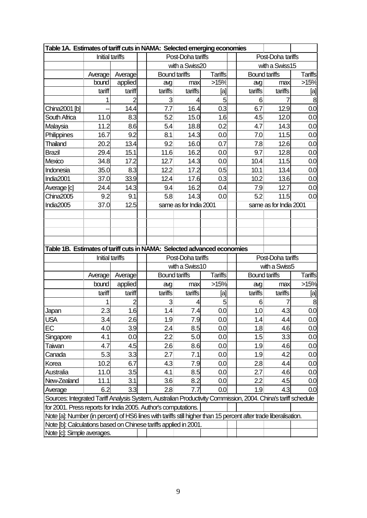| Table 1A. Estimates of tariff cuts in NAMA: Selected emerging economies                                                                                                         |                                                                                                                                                                                      |         |         |                        |                |  |                        |                   |                |  |
|---------------------------------------------------------------------------------------------------------------------------------------------------------------------------------|--------------------------------------------------------------------------------------------------------------------------------------------------------------------------------------|---------|---------|------------------------|----------------|--|------------------------|-------------------|----------------|--|
|                                                                                                                                                                                 | <b>Initial tariffs</b>                                                                                                                                                               |         |         | Post-Doha tariffs      |                |  |                        | Post-Doha tariffs |                |  |
|                                                                                                                                                                                 |                                                                                                                                                                                      |         |         | with a Swiss20         |                |  | with a Swiss15         |                   |                |  |
|                                                                                                                                                                                 | Average                                                                                                                                                                              | Average |         | <b>Bound tariffs</b>   | <b>Tariffs</b> |  | <b>Bound tariffs</b>   |                   | <b>Tariffs</b> |  |
|                                                                                                                                                                                 | bound                                                                                                                                                                                | applied | avg     | max                    | >15%           |  | avg                    | max               | >15%           |  |
|                                                                                                                                                                                 | tariff                                                                                                                                                                               | tariff  | tariffs | tariffs                | [a]            |  | tariffs                | tariffs           | [a]            |  |
|                                                                                                                                                                                 |                                                                                                                                                                                      |         | 3       |                        | 5              |  | 6                      |                   | 8              |  |
| China2001 [b]                                                                                                                                                                   |                                                                                                                                                                                      | 14.4    | 7.7     | 16.4                   | 0.3            |  | 6.7                    | 12.9              | 0.0            |  |
| South Africa                                                                                                                                                                    | 11.0                                                                                                                                                                                 | 8.3     | 5.2     | 15.0                   | 1.6            |  | 4.5                    | 12.0              | 0.0            |  |
| Malaysia                                                                                                                                                                        | 11.2                                                                                                                                                                                 | 8.6     | 5.4     | 18.8                   | 0.2            |  | 4.7                    | 14.3              | 0.0            |  |
| Philippines                                                                                                                                                                     | 16.7                                                                                                                                                                                 | 9.2     | 8.1     | 14.3                   | 0.0            |  | 7.0                    | 11.5              | 0.0            |  |
| <b>Thailand</b>                                                                                                                                                                 | 20.2                                                                                                                                                                                 | 13.4    | 9.2     | 16.0                   | 0.7            |  | 7.8                    | 12.6              | 0.0            |  |
| <b>Brazil</b>                                                                                                                                                                   | 29.4                                                                                                                                                                                 | 15.1    | 11.6    | 16.2                   | 0.0            |  | 9.7                    | 12.8              | 0.0            |  |
| Mexico                                                                                                                                                                          | 34.8                                                                                                                                                                                 | 17.2    | 12.7    | 14.3                   | 0.0            |  | 10.4                   | 11.5              | 0.0            |  |
| Indonesia                                                                                                                                                                       | 35.0                                                                                                                                                                                 | 8.3     | 12.2    | 17.2                   | 0.5            |  | 10.1                   | 13.4              | 0.0            |  |
| India2001                                                                                                                                                                       | 37.0                                                                                                                                                                                 | 33.9    | 12.4    | 17.6                   | 0.3            |  | 10.2                   | 13.6              | 0.0            |  |
| Average [c]                                                                                                                                                                     | 24.4                                                                                                                                                                                 | 14.3    | 9.4     | 16.2                   | 0.4            |  | 7.9                    | 12.7              | 0.0            |  |
| China2005                                                                                                                                                                       | 9.2                                                                                                                                                                                  | 9.1     | 5.8     | 14.3                   | 0.0            |  | 5.2                    | 11.5              | 0.0            |  |
| India2005                                                                                                                                                                       | 37.0                                                                                                                                                                                 | 12.5    |         | same as for India 2001 |                |  | same as for India 2001 |                   |                |  |
|                                                                                                                                                                                 |                                                                                                                                                                                      |         |         |                        |                |  |                        |                   |                |  |
|                                                                                                                                                                                 |                                                                                                                                                                                      |         |         |                        |                |  |                        |                   |                |  |
|                                                                                                                                                                                 |                                                                                                                                                                                      |         |         |                        |                |  |                        |                   |                |  |
|                                                                                                                                                                                 |                                                                                                                                                                                      |         |         |                        |                |  |                        |                   |                |  |
| Table 1B. Estimates of tariff cuts in NAMA: Selected advanced economies                                                                                                         |                                                                                                                                                                                      |         |         |                        |                |  |                        |                   |                |  |
|                                                                                                                                                                                 | <b>Initial tariffs</b>                                                                                                                                                               |         |         | Post-Doha tariffs      |                |  |                        | Post-Doha tariffs |                |  |
|                                                                                                                                                                                 |                                                                                                                                                                                      |         |         | with a Swiss10         |                |  |                        | with a Swiss5     |                |  |
|                                                                                                                                                                                 | Average                                                                                                                                                                              | Average |         | <b>Bound tariffs</b>   | <b>Tariffs</b> |  | <b>Bound tariffs</b>   |                   | <b>Tariffs</b> |  |
|                                                                                                                                                                                 | bound                                                                                                                                                                                | applied | avg     | max                    | >15%           |  | avg                    | max               | >15%           |  |
|                                                                                                                                                                                 | tariff                                                                                                                                                                               | tariff  | tariffs | tariffs                | [a]            |  | tariffs                | tariffs           | [a]            |  |
|                                                                                                                                                                                 |                                                                                                                                                                                      | 2       | 3       | 4                      | 5              |  | 6                      |                   | 8              |  |
| Japan                                                                                                                                                                           | 2.3                                                                                                                                                                                  | 1.6     | 1.4     | 7.4                    | 0.0            |  | 1.0                    | 4.3               | 0.0            |  |
| <b>USA</b>                                                                                                                                                                      | 3.4                                                                                                                                                                                  | 2.6     | 1.9     | 7.9                    | 0.0            |  | 1.4                    | 4.4               | 0.0            |  |
| EC                                                                                                                                                                              | 4.0                                                                                                                                                                                  | 3.9     | 2.4     | 8.5                    | 0.0            |  | 1.8                    | 4.6               | 0.0            |  |
| Singapore                                                                                                                                                                       | 4.1                                                                                                                                                                                  | 0.0     | 2.2     | 5.0                    | 0.0            |  | 1.5                    | 3.3               | 0.0            |  |
| Taiwan                                                                                                                                                                          | 4.7                                                                                                                                                                                  | 4.5     | 2.6     | 8.6                    | 0.0            |  | 1.9                    | 4.6               | 0.0            |  |
| Canada                                                                                                                                                                          | 5.3                                                                                                                                                                                  | 3.3     | 2.7     | 7.1                    | 0.0            |  | 1.9                    | 4.2               | 0.0            |  |
| Korea                                                                                                                                                                           | 10.2                                                                                                                                                                                 | 6.7     | 4.3     | 7.9                    | 0.0            |  | 2.8                    | 4.4               | 0.0            |  |
| Australia                                                                                                                                                                       | 11.0                                                                                                                                                                                 | 3.5     | 4.1     | 8.5                    | 0.0            |  | 2.7                    | 4.6               | 0.0            |  |
| New-Zealand                                                                                                                                                                     | 11.1                                                                                                                                                                                 | 3.1     | 3.6     | 8.2                    | 0.0            |  | 2.2                    | 4.5               | 0.0            |  |
| Average                                                                                                                                                                         | 6.2                                                                                                                                                                                  | 3.3     | 2.8     | 7.7                    | 0.0            |  | 1.9                    | 4.3               | 0.0            |  |
|                                                                                                                                                                                 |                                                                                                                                                                                      |         |         |                        |                |  |                        |                   |                |  |
| Sources: Integrated Tariff Analysis System, Australian Productivity Commission, 2004. China's tariff schedule<br>for 2001. Press reports for India 2005. Author's computations. |                                                                                                                                                                                      |         |         |                        |                |  |                        |                   |                |  |
|                                                                                                                                                                                 |                                                                                                                                                                                      |         |         |                        |                |  |                        |                   |                |  |
|                                                                                                                                                                                 | Note [a]: Number (in percent) of HS6 lines with tariffs still higher than 15 percent after trade liberalisation.<br>Note [b]: Calculations based on Chinese tariffs applied in 2001. |         |         |                        |                |  |                        |                   |                |  |
| Note [c]: Simple averages.                                                                                                                                                      |                                                                                                                                                                                      |         |         |                        |                |  |                        |                   |                |  |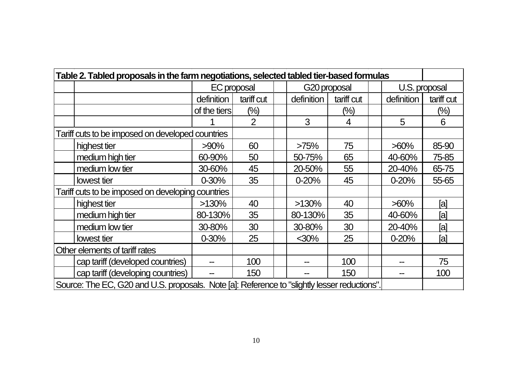| Table 2. Tabled proposals in the farm negotiations, selected tabled tier-based formulas |                                                                                              |                    |            |  |              |            |  |            |               |
|-----------------------------------------------------------------------------------------|----------------------------------------------------------------------------------------------|--------------------|------------|--|--------------|------------|--|------------|---------------|
|                                                                                         |                                                                                              | <b>EC</b> proposal |            |  | G20 proposal |            |  |            | U.S. proposal |
|                                                                                         |                                                                                              | definition         | tariff cut |  | definition   | tariff cut |  | definition | tariff cut    |
|                                                                                         |                                                                                              | of the tiers       | $(\%)$     |  |              | $(\%)$     |  |            | (%)           |
|                                                                                         |                                                                                              |                    | 2          |  | 3            | 4          |  | 5          | 6             |
| Tariff cuts to be imposed on developed countries                                        |                                                                                              |                    |            |  |              |            |  |            |               |
|                                                                                         | highest tier                                                                                 | $>90\%$            | 60         |  | >75%         | 75         |  | $>60\%$    | 85-90         |
|                                                                                         | medium high tier                                                                             | 60-90%             | 50         |  | 50-75%       | 65         |  | 40-60%     | 75-85         |
|                                                                                         | medium low tier                                                                              | 30-60%             | 45         |  | 20-50%       | 55         |  | 20-40%     | 65-75         |
|                                                                                         | lowest tier                                                                                  | $0 - 30%$          | 35         |  | $0 - 20%$    | 45         |  | $0 - 20%$  | 55-65         |
| Tariff cuts to be imposed on developing countries                                       |                                                                                              |                    |            |  |              |            |  |            |               |
|                                                                                         | highest tier                                                                                 | >130%              | 40         |  | $>130\%$     | 40         |  | $>60\%$    | [a]           |
|                                                                                         | medium high tier                                                                             | 80-130%            | 35         |  | 80-130%      | 35         |  | 40-60%     | [a]           |
|                                                                                         | medium low tier                                                                              | 30-80%             | 30         |  | 30-80%       | 30         |  | 20-40%     | [a]           |
|                                                                                         | lowest tier                                                                                  | $0 - 30%$          | 25         |  | $30%$        | 25         |  | $0 - 20%$  | [a]           |
| Other elements of tariff rates                                                          |                                                                                              |                    |            |  |              |            |  |            |               |
|                                                                                         | cap tariff (developed countries)                                                             |                    | 100        |  |              | 100        |  |            | 75            |
|                                                                                         | cap tariff (developing countries)                                                            |                    | 150        |  |              | 150        |  |            | 100           |
|                                                                                         | Source: The EC, G20 and U.S. proposals. Note [a]: Reference to "slightly lesser reductions". |                    |            |  |              |            |  |            |               |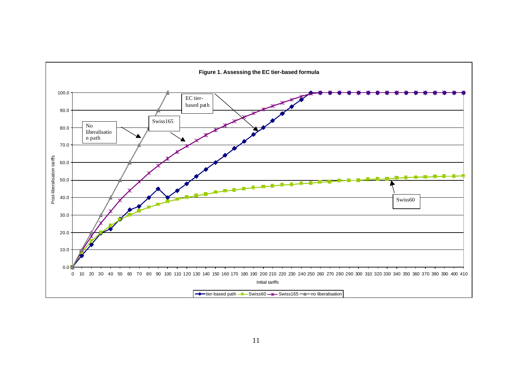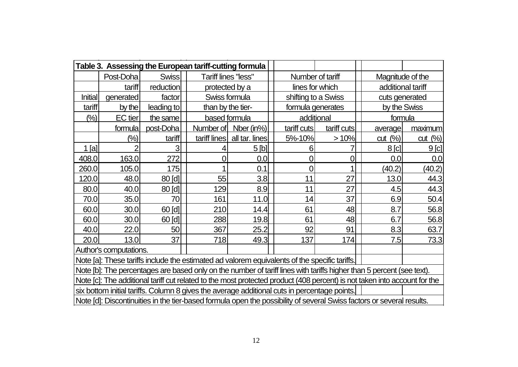|                                                                                                                           |                                                                                               | Table 3. Assessing the European tariff-cutting formula |              |                     |                                                                                              |                     |                   |                  |  |
|---------------------------------------------------------------------------------------------------------------------------|-----------------------------------------------------------------------------------------------|--------------------------------------------------------|--------------|---------------------|----------------------------------------------------------------------------------------------|---------------------|-------------------|------------------|--|
|                                                                                                                           | Post-Doha                                                                                     | <b>Swiss</b>                                           |              | Tariff lines "less" | Number of tariff                                                                             |                     | Magnitude of the  |                  |  |
|                                                                                                                           | tariff                                                                                        | reduction                                              |              | protected by a      | lines for which                                                                              |                     | additional tariff |                  |  |
| <b>Initial</b>                                                                                                            | generated                                                                                     | factor                                                 |              | Swiss formula       |                                                                                              | shifting to a Swiss |                   | cuts generated   |  |
| tariff                                                                                                                    | by the                                                                                        | leading to                                             |              | than by the tier-   | formula generates                                                                            |                     | by the Swiss      |                  |  |
| (%)                                                                                                                       | <b>EC</b> tier                                                                                | the same                                               |              | based formula       | additional                                                                                   |                     | formula           |                  |  |
|                                                                                                                           | formula                                                                                       | post-Doha                                              | Number of    | Nber (in%)          | tariff cuts                                                                                  | tariff cuts         | average           | maximum          |  |
|                                                                                                                           | $(\%)$                                                                                        | tariff                                                 | tariff lines | all tar. lines      | 5%-10%                                                                                       | >10%                | cut (%)           | cut (%)          |  |
| $1$ [a]                                                                                                                   | $\overline{2}$                                                                                | 3                                                      |              | 5 <sub>[h]</sub>    | 6                                                                                            |                     | $8$ [c]           | 9 <sub>[c]</sub> |  |
| 408.0                                                                                                                     | 163.0                                                                                         | 272                                                    | 0            | 0.0                 | $\overline{0}$                                                                               | 0                   | 0.0               | 0.0              |  |
| 260.0                                                                                                                     | 105.0                                                                                         | 175                                                    |              | 0.1                 | $\overline{0}$                                                                               | 1                   | (40.2)            | (40.2)           |  |
| 120.0                                                                                                                     | 48.0                                                                                          | 80 [d]                                                 | 55           | 3.8                 | 11                                                                                           | 27                  | 13.0              | 44.3             |  |
| 80.0                                                                                                                      | 40.0                                                                                          | $80$ [d]                                               | 129          | 8.9                 | 11                                                                                           | 27                  | 4.5               | 44.3             |  |
| 70.0                                                                                                                      | 35.0                                                                                          | 70                                                     | 161          | 11.0                | 14                                                                                           | 37                  | 6.9               | 50.4             |  |
| 60.0                                                                                                                      | 30.0                                                                                          | 60[d]                                                  | 210          | 14.4                | 61                                                                                           | 48                  | 8.7               | 56.8             |  |
| 60.0                                                                                                                      | 30.0                                                                                          | 60 [d]                                                 | 288          | 19.8                | 61                                                                                           | 48                  | 6.7               | 56.8             |  |
| 40.0                                                                                                                      | 22.0                                                                                          | 50                                                     | 367          | 25.2                | 92                                                                                           | 91                  | 8.3               | 63.7             |  |
| 20.0                                                                                                                      | 13.0                                                                                          | 37                                                     | 718          | 49.3                | 137                                                                                          | 174                 | 7.5               | 73.3             |  |
|                                                                                                                           | Author's computations.                                                                        |                                                        |              |                     |                                                                                              |                     |                   |                  |  |
|                                                                                                                           | Note [a]: These tariffs include the estimated ad valorem equivalents of the specific tariffs. |                                                        |              |                     |                                                                                              |                     |                   |                  |  |
| Note [b]: The percentages are based only on the number of tariff lines with tariffs higher than 5 percent (see text).     |                                                                                               |                                                        |              |                     |                                                                                              |                     |                   |                  |  |
| Note [c]: The additional tariff cut related to the most protected product (408 percent) is not taken into account for the |                                                                                               |                                                        |              |                     |                                                                                              |                     |                   |                  |  |
|                                                                                                                           |                                                                                               |                                                        |              |                     | six bottom initial tariffs. Column 8 gives the average additional cuts in percentage points. |                     |                   |                  |  |
| Note [d]: Discontinuities in the tier-based formula open the possibility of several Swiss factors or several results.     |                                                                                               |                                                        |              |                     |                                                                                              |                     |                   |                  |  |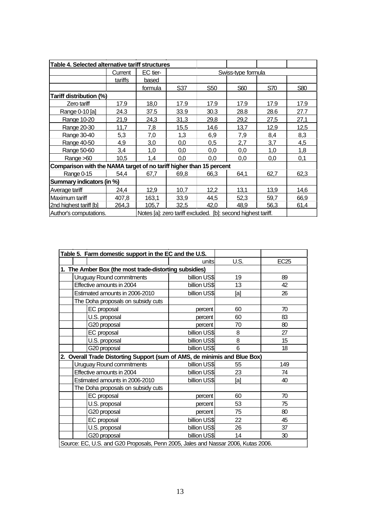| Table 4. Selected alternative tariff structures                     |         |                                                              |      |                 |                    |      |      |  |
|---------------------------------------------------------------------|---------|--------------------------------------------------------------|------|-----------------|--------------------|------|------|--|
|                                                                     | Current | EC tier-                                                     |      |                 | Swiss-type formula |      |      |  |
|                                                                     | tariffs | based                                                        |      |                 |                    |      |      |  |
|                                                                     |         | formula                                                      | S37  | S <sub>50</sub> | S60                | S70  | S80  |  |
| Tariff distribution (%)                                             |         |                                                              |      |                 |                    |      |      |  |
| Zero tariff                                                         | 17.9    | 18,0                                                         | 17.9 | 17.9            | 17.9               | 17.9 | 17.9 |  |
| Range 0-10 [a]                                                      | 24.3    | 37.5                                                         | 33.9 | 30.3            | 28.8               | 28.6 | 27.7 |  |
| Range 10-20                                                         | 21,9    | 24,3                                                         | 31,3 | 29,8            | 29,2               | 27,5 | 27,1 |  |
| Range 20-30                                                         | 11,7    | 7,8                                                          | 15,5 | 14,6            | 13,7               | 12,9 | 12,5 |  |
| Range 30-40                                                         | 5,3     | 7,0                                                          | 1,3  | 6,9             | 7,9                | 8,4  | 8,3  |  |
| Range 40-50                                                         | 4,9     | 3,0                                                          | 0,0  | 0,5             | 2,7                | 3,7  | 4,5  |  |
| Range 50-60                                                         | 3,4     | 1,0                                                          | 0,0  | 0,0             | 0,0                | 1,0  | 1,8  |  |
| Range >60                                                           | 10,5    | 1,4                                                          | 0,0  | 0,0             | 0,0                | 0,0  | 0,1  |  |
| Comparison with the NAMA target of no tariff higher than 15 percent |         |                                                              |      |                 |                    |      |      |  |
| Range 0-15                                                          | 54,4    | 67,7                                                         | 69,8 | 66,3            | 64,1               | 62,7 | 62,3 |  |
| Summary indicators (in %)                                           |         |                                                              |      |                 |                    |      |      |  |
| Average tariff                                                      | 24,4    | 12,9                                                         | 10,7 | 12,2            | 13,1               | 13,9 | 14,6 |  |
| Maximum tariff                                                      | 407,8   | 163,1                                                        | 33,9 | 44,5            | 52,3               | 59,7 | 66,9 |  |
| 2nd highest tariff [b]                                              | 264,3   | 105,7                                                        | 32,5 | 42,0            | 48,9               | 56,3 | 61,4 |  |
| Author's computations.                                              |         | Notes [a]: zero tariff excluded. [b]: second highest tariff. |      |                 |                    |      |      |  |

|                                                                                   | Table 5. Farm domestic support in the EC and the U.S.  |              |             |                  |  |  |  |  |
|-----------------------------------------------------------------------------------|--------------------------------------------------------|--------------|-------------|------------------|--|--|--|--|
|                                                                                   |                                                        | unitsl       | <b>U.S.</b> | EC <sub>25</sub> |  |  |  |  |
|                                                                                   | 1. The Amber Box (the most trade-distorting subsidies) |              |             |                  |  |  |  |  |
|                                                                                   | Uruguay Round commitments                              | billion US\$ | 19          | 89               |  |  |  |  |
|                                                                                   | Effective amounts in 2004                              | billion US\$ | 13          | 42               |  |  |  |  |
| Estimated amounts in 2006-2010<br>billion US\$                                    |                                                        |              | [a]         | 26               |  |  |  |  |
|                                                                                   | The Doha proposals on subsidy cuts                     |              |             |                  |  |  |  |  |
|                                                                                   | EC proposal                                            | percent      | 60          | 70               |  |  |  |  |
|                                                                                   | U.S. proposal                                          | percent      | 60          | 83               |  |  |  |  |
|                                                                                   | G20 proposal                                           | percent      | 70          | 80               |  |  |  |  |
|                                                                                   | EC proposal                                            | billion US\$ | 8           | 27               |  |  |  |  |
|                                                                                   | U.S. proposal                                          | billion US\$ | 8           | 15               |  |  |  |  |
|                                                                                   | G20 proposal                                           | billion US\$ | 6           | 18               |  |  |  |  |
| 2. Overall Trade Distorting Support (sum of AMS, de minimis and Blue Box)         |                                                        |              |             |                  |  |  |  |  |
|                                                                                   | Uruguay Round commitments                              | billion US\$ | 55          | 149              |  |  |  |  |
|                                                                                   | Effective amounts in 2004                              | billion US\$ | 23          | 74               |  |  |  |  |
|                                                                                   | Estimated amounts in 2006-2010                         | billion US\$ | [a]         | 40               |  |  |  |  |
|                                                                                   | The Doha proposals on subsidy cuts                     |              |             |                  |  |  |  |  |
|                                                                                   | EC proposal                                            | percent      | 60          | 70               |  |  |  |  |
|                                                                                   | U.S. proposal                                          | percent      | 53          | 75               |  |  |  |  |
|                                                                                   | G20 proposal                                           | percent      | 75          | 80               |  |  |  |  |
|                                                                                   | EC proposal                                            | billion US\$ | 22          | 45               |  |  |  |  |
|                                                                                   | U.S. proposal                                          | billion US\$ | 26          | 37               |  |  |  |  |
|                                                                                   | G20 proposal                                           | billion US\$ | 14          | 30               |  |  |  |  |
| Source: EC, U.S. and G20 Proposals, Penn 2005, Jales and Nassar 2006, Kutas 2006. |                                                        |              |             |                  |  |  |  |  |